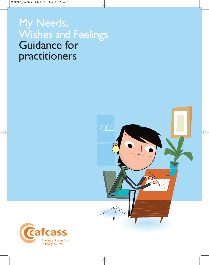# My Needs, Wishes and Feelings<br>Guidance for practitioners



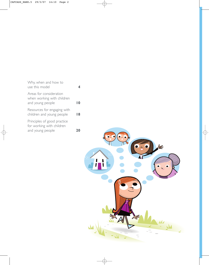| Why, when and how to<br>use this model                                       |    |
|------------------------------------------------------------------------------|----|
| Areas for consideration<br>when working with children<br>and young people    |    |
| Resources for engaging with<br>children and young people                     | 18 |
| Principles of good practice<br>for working with children<br>and young people |    |

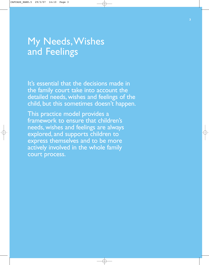### My Needs,Wishes and Feelings

It's essential that the decisions made in the family court take into account the detailed needs, wishes and feelings of the child, but this sometimes doesn't happen.

This practice model provides a framework to ensure that children's needs, wishes and feelings are always explored, and supports children to express themselves and to be more actively involved in the whole family court process.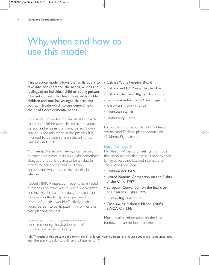### Why, when and how to use this model

This practice model allows the family court to take into consideration the needs, wishes and feelings of an individual child or young person. One set of forms has been designed for older children and one for younger children, but you can decide which to use depending on the child's developmental needs.

This model promotes the analytical approach to assessing information shared by the young person and ensures the young person's own analysis is not minimised in the process. It is intended to be concise and relevant to the issues considered.

My Needs,Wishes and Feelings can be filed in court, sometimes in its own right, sometimes alongside a report. It can also be a valuable record for the young person of their contribution when they reflect on this in later life.

Recent HMICA inspection reports have raised questions about the way in which we facilitate and involve children and young people in our work and in the family court process.This model of practice would effectively enable a young person to participate in his or her own case planning process.

Several groups and organisations were consulted during the development of this practice model, including:

- Cafcass Young People's Board
- Cafcass and FJC Young People's Forum
- Cafcass Children's Rights Champions
- Commission for Social Care Inspection
- National Children's Bureau
- Children Law UK
- Shaftesbury Home.

For further information about My Needs, Wishes and Feelings, please contact the Children's Rights team.

#### Legal framework

My Needs,Wishes and Feelings is a model that, although practice-based, is underpinned by legislation, case law and international conventions, including:

- Children Act 1989
- United Nations Convention on the Rights of the Child 1989
- European Convention on the Exercise of Children's Rights 1996
- Human Rights Act 1998
- Case law, eg Mabon v Mabon (2005) EWCA Civ 634.

More detailed information on the legal framework can be found on the intranet.

NB:Throughout this guidance the terms 'child','children','young person' and 'young people' are sometimes used interchangeably to refer to children of all ages up to 17.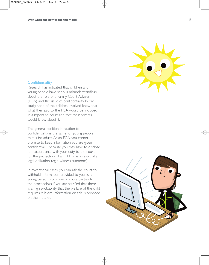

#### **Confidentiality**

Research has indicated that children and young people have serious misunderstandings about the role of a Family Court Adviser (FCA) and the issue of confidentiality. In one study, none of the children involved knew that what they said to the FCA would be included in a report to court and that their parents would know about it.

The general position in relation to confidentiality is the same for young people as it is for adults. As an FCA, you cannot promise to keep information you are given confidential – because you may have to disclose it in accordance with your duty to the court, for the protection of a child or as a result of a legal obligation (eg a witness summons).

In exceptional cases, you can ask the court to withhold information provided to you by a young person from one or more parties to the proceedings if you are satisfied that there is a high probability that the welfare of the child requires it. More information on this is provided on the intranet.

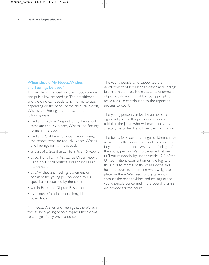#### When should My Needs,Wishes and Feelings be used?

This model is intended for use in both private and public law proceedings.The practitioner and the child can decide which forms to use, depending on the needs of the child. My Needs, Wishes and Feelings can be used in the following ways:

- filed as a Section 7 report, using the report template and My Needs,Wishes and Feelings forms in this pack
- filed as a Children's Guardian report, using the report template and My Needs,Wishes and Feelings forms in this pack
- as part of a Guardian ad litem Rule 9.5 report
- as part of a Family Assistance Order report, using My Needs,Wishes and Feelings as an attachment
- as a 'Wishes and Feelings' statement on behalf of the young person, when this is specifically requested by the court
- within Extended Dispute Resolution
- as a source for discussion, alongside other tools.

My Needs,Wishes and Feelings is, therefore, a tool to help young people express their views to a judge, if they wish to do so.

The young people who supported the development of My Needs,Wishes and Feelings felt that this approach creates an environment of participation and enables young people to make a visible contribution to the reporting process to court.

The young person can be the author of a significant part of this process and should be told that the judge who will make decisions affecting his or her life will see the information.

The forms for older or younger children can be moulded to the requirements of the court to fully address the needs, wishes and feelings of the young person.We must ensure that we fulfil our responsibility under Article 12.2 of the United Nations Convention on the Rights of the Child to represent the child's views and help the court to determine what weight to place on them.We need to fully take into account the needs, wishes and feelings of the young people concerned in the overall analysis we provide for the court.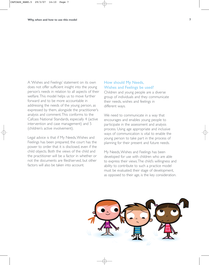A 'Wishes and Feelings' statement on its own does not offer sufficient insight into the young person's needs in relation to all aspects of their welfare.This model helps us to move further forward and to be more accountable in addressing the needs of the young person, as expressed by them, alongside the practitioner's analysis and comment.This conforms to the Cafcass National Standards, especially 4 (active intervention and case management) and 5 (children's active involvement).

Legal advice is that if My Needs,Wishes and Feelings has been prepared, the court has the power to order that it is disclosed, even if the child objects. Both the views of the child and the practitioner will be a factor in whether or not the documents are filed/served, but other factors will also be taken into account.

#### How should My Needs, Wishes and Feelings be used?

Children and young people are a diverse group of individuals and they communicate their needs, wishes and feelings in different ways.

We need to communicate in a way that encourages and enables young people to participate in the assessment and analysis process. Using age appropriate and inclusive ways of communication is vital to enable the young person to take part in the process of planning for their present and future needs.

My Needs,Wishes and Feelings has been developed for use with children who are able to express their views.The child's willingness and ability to contribute to such a practice model must be evaluated; their stage of development, as opposed to their age, is the key consideration.

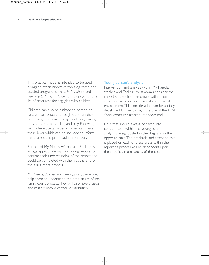This practice model is intended to be used alongside other innovative tools, eg computer assisted programs such as *In My Shoes* and *Listening to Young Children*.Turn to page 18 for a list of resources for engaging with children.

Children can also be assisted to contribute to a written process through other creative processes, eg drawings, clay modelling, games, music, drama, storytelling and play. Following such interactive activities, children can share their views, which can be included to inform the analysis and proposed intervention.

Form 1 of My Needs,Wishes and Feelings is an age appropriate way for young people to confirm their understanding of the report and could be completed with them at the end of the assessment process.

My Needs,Wishes and Feelings can, therefore, help them to understand the next stages of the family court process.They will also have a visual and reliable record of their contribution.

#### Young person's analysis

Intervention and analysis within My Needs, Wishes and Feelings must always consider the impact of the child's emotions within their existing relationships and social and physical environment.This consideration can be usefully developed further through the use of the *In My Shoes* computer assisted interview tool.

Links that should always be taken into consideration within the young person's analysis are signposted in the diagram on the opposite page.The emphasis and attention that is placed on each of these areas within the reporting process will be dependent upon the specific circumstances of the case.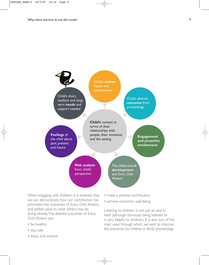

When engaging with children, it is essential that we can demonstrate how our contribution has promoted the outcomes of *Every Child Matters*, and added value to what others may be doing already.The desired outcomes of *Every Child Matters* are:

- be healthy
- stay safe
- enjoy and achieve
- make a positive contribution
- achieve economic well-being.

Listening to children is not just an end in itself (although obviously being listened to is very helpful to children). It is also one of the main ways through which we seek to improve the outcomes for children in family proceedings.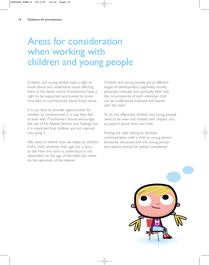### Areas for consideration when working with children and young people

Children and young people have a right to know about and understand issues affecting them in the family courts. Practitioners have a right to be supported and trained to know how best to communicate about those issues.

It is our duty to provide opportunities for children to communicate in a way they feel at ease with. Practitioners should encourage the use of My Needs,Wishes and Feelings, but it is important that children are not coerced into using it.

We need to rethink how we relate to children. Every child, whatever their age, has a story to tell. How this story is understood is not dependent on the age of the teller, but rather on the sensitivity of the listener.

Children and young people are at different stages of development: cognitively, socially, physically, culturally and spiritually.With skill, the circumstances of each individual child can be understood, analysed and shared with the child.

To do this effectively, children and young people need to be seen and treated with respect and as experts about their own lives.

Finding the right setting to facilitate communication with a child or young person should be discussed with the young person and options should be openly considered.

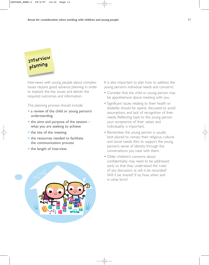### Interview planning

Interviews with young people about complex issues require good advance planning in order to explore the key issues and deliver the required outcomes and information.

The planning process should include:

- a review of the child or young person's understanding
- $\bullet$  the aims and purpose of the session  $$ what you are seeking to achieve
- the site of the meeting
- the resources needed to facilitate the communication process
- the length of interview.



It is also important to plan how to address the young person's individual needs and concerns:

- Consider that the child or young person may be apprehensive about meeting with you.
- Significant issues relating to their health or disability should be openly discussed to avoid assumptions and lack of recognition of their needs. Reflecting back to the young person your acceptance of their values and individuality is important.
- Remember, the young person is usually best placed to convey their religious, cultural and social needs. Aim to support the young person's sense of identity through the conversations you have with them.
- Older children's concerns about confidentiality may need to be addressed early so that they understand the 'rules' of any discussion, ie will it be recorded? Will it be shared? If so, how, when and in what form?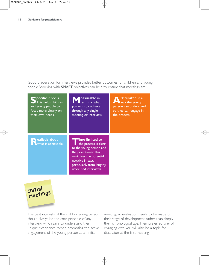Good preparation for interviews provides better outcomes for children and young people.Working with SMART objectives can help to ensure that meetings are:

| $\blacksquare$ pecific in focus.      | easurable in                                                                                                                                                                                                     | <b>rticulated</b> in a |
|---------------------------------------|------------------------------------------------------------------------------------------------------------------------------------------------------------------------------------------------------------------|------------------------|
| This helps children                   | terms of what                                                                                                                                                                                                    | way the young          |
| and young people to                   | you wish to achieve                                                                                                                                                                                              | person can understand, |
| focus more clearly on                 | through any single                                                                                                                                                                                               | so they can engage in  |
| their own needs.                      | meeting or interview.                                                                                                                                                                                            | the process.           |
| ealistic about<br>what is achievable. | $\blacksquare$ ime-limited so<br>the process is clear<br>to the young person and<br>the practitioner. This<br>minimises the potential<br>negative impact,<br>particularly from lengthy,<br>unfocused interviews. |                        |

Initial meetings

The best interests of the child or young person should always be the core principle of any interview, which aims to understand their unique experience.When promoting the active engagement of the young person at an initial

meeting, an evaluation needs to be made of their stage of development rather than simply their chronological age.Their preferred way of engaging with you will also be a topic for discussion at the first meeting.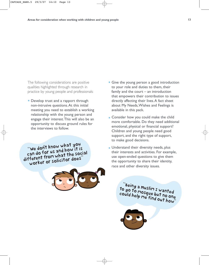The following considerations are positive qualities highlighted through research in practice by young people and professionals:

• Develop trust and a rapport through non-intrusive questions.At this initial meeting you need to establish a working relationship with the young person and engage their interest.This will also be an opportunity to discuss ground rules for the interviews to follow.

"We don't know what you can do for us and how it is different from what the social worker or solicitor does



- Give the young person a good introduction to your role and duties to them, their family and the court – an introduction that empowers their contribution to issues directly affecting their lives.A fact sheet about My Needs,Wishes and Feelings is available in this pack.
- **Consider how you could make the child** more comfortable. Do they need additional emotional, physical or financial support? Children and young people need good support, and the right type of support, to make good decisions.
- Understand their diversity needs, plus their interests and activities. For example, use open-ended questions to give them the opportunity to share their identity, race and other diversity issues.

<sup>"Bein</sup>g a Muslim I wanted<br>'90 to mosque by tanted to go to muslim I wanted<br>could help me find a no one could help me find out ho one<br>"We find out how"

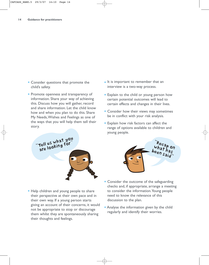- Consider questions that promote the child's safety.
- Promote openness and transparency of information. Share your way of achieving this. Discuss how you will gather, record and share information. Let the child know how and when you plan to do this. Share My Needs,Wishes and Feelings as one of the ways that you will help them tell their story.
- It is important to remember that an interview is a two-way process.
- Explain to the child or young person how certain potential outcomes will lead to certain effects and changes in their lives.
- Consider how their views may sometimes be in conflict with your risk analysis.
- Explain how risk factors can affect the range of options available to children and young people.



• Help children and young people to share their perspective at their own pace and in their own way. If a young person starts giving an account of their concerns, it would not be appropriate to stop or discourage them whilst they are spontaneously sharing their thoughts and feelings.



- Consider the outcome of the safeguarding checks and, if appropriate, arrange a meeting to consider the information.Young people need to know the relevance of this discussion to the plan.
- Analyse the information given by the child regularly and identify their worries.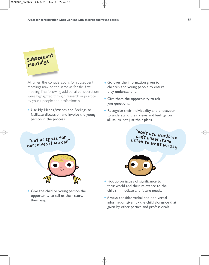

At times, the considerations for subsequent meetings may be the same as for the first meeting.The following additional considerations were highlighted through research in practice by young people and professionals:

- Use My Needs,Wishes and Feelings to facilitate discussion and involve the young person in the process.
- Go over the information given to children and young people to ensure they understand it.
- Give them the opportunity to ask you questions.
- Recognise their individuality and endeavour to understand their views and feelings on all issues, not just their plans.



• Give the child or young person the opportunity to tell us their story, their way.





- Pick up on issues of significance to their world and their relevance to the child's immediate and future needs.
- Always consider verbal and non-verbal information given by the child alongside that given by other parties and professionals.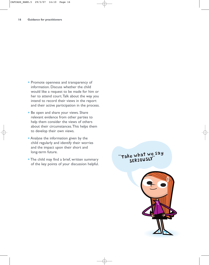- Promote openness and transparency of information. Discuss whether the child would like a request to be made for him or her to attend court.Talk about the way you intend to record their views in the report and their active participation in the process.
- Be open and share your views. Share relevant evidence from other parties to help them consider the views of others about their circumstances.This helps them to develop their own views.
- Analyse the information given by the child regularly and identify their worries and the impact upon their short and long-term future.
- The child may find a brief, written summary of the key points of your discussion helpful.

"Take what we say SERIOUSLY"

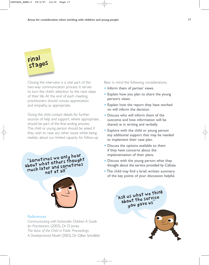# Final stages

Closing the interview is a vital part of the two-way communication process. It serves to turn the child's attention to the next steps of their life. At the end of each meeting, practitioners should convey appreciation and empathy, as appropriate.

Giving the child contact details for further sources of help and support, where appropriate, should be part of the final ending process. The child or young person should be asked if they wish to raise any other issues whilst being realistic about our limited capacity for follow-up.

"Sometimes we only hear about what others thought much later and sometimes not at all"



#### **References**

*Communicating with Vulnerable Children: A Guide for Practitioners* (2003), Dr D Jones *The Voice of the Child in Public Proceedings: A Developmental Model* (2003), Dr Gillian Schofield Bear in mind the following considerations.

- Inform them of parties' views.
- Explain how you plan to share the young person's views.
- Explain how the report they have worked on will inform the decision.
- Discuss who will inform them of the outcome and how information will be shared, ie in writing and verbally.
- Explore with the child or young person any additional support that may be needed to implement their case plan.
- Discuss the options available to them if they have concerns about the implementation of their plans.
- Discuss with the young person what they thought about the service provided by Cafcass.
- The child may find a brief, written summary of the key points of your discussion helpful.

"Ask us what we thin<sup>k</sup> about the service you gave us

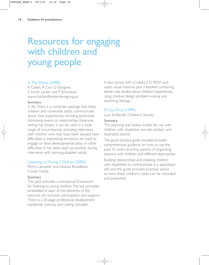## Resources for engaging with children and young people

#### In My Shoes (2006)

R Calam, A Cox, D Glasgow, S Groth Larsen and P Jimmieson www.childandfamilytraining.org.uk

#### Summary

*In My Shoes* is a computer package that helps children and vulnerable adults communicate about their experiences, including potentially distressing events or relationships. Extensive testing has shown it can be used in a wide range of circumstances, including interviews with children who may have been abused, have difficulties in expressing emotions, are hard to engage or have developmental delay or other difficulties. It has been used successfully during interviews with learning-disabled adults.

#### Listening to Young Children (2003)

Penny Lancaster and Vanessa Broadbent, Coram Family

#### Summary

The pack provides a conceptual framework for listening to young children.The key principles embedded in each of the elements of the resource are inclusion, participation and support. There is a 20-page professional development handbook, *Listening and Looking* included.

It also comes with a helpful CD ROM and audio visual material, plus a booklet containing eleven case studies about children's experiences, using creative design, problem-solving and exploring feelings.

#### I'll Go First (1999)

Lucy Kirkbride, Children's Society

#### Summary

This planning and review toolkit for use with children with disabilities includes stickers and illustrated boards.

The good practice guide included provides comprehensive guidance on how to use the pack. It covers practical aspects of organising sessions with children and different approaches.

Building relationships and enabling children with disabilities to communicate is a specialised skill and the guide provides practical advice on how these children's views can be recorded and presented.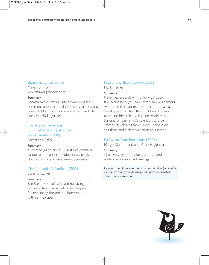#### Boardmaker software

Mayer-Johnson www.mayer-johnson.com

#### Summary

*Boardmaker* creates printed symbol-based communication materials.The software features over 4,000 Picture Communication Symbols and over 40 languages.

#### 'Say it your own way' Children's participation in assessments (2006)

Barnardo's/DfES

#### Summary

A printed guide and CD ROM of practical resources to support professionals to give children a voice in assessment processes.

#### The Therapist's Toolbox (2001)

Susan E Carrell

#### Summary

*The Therapist's Toolbox* is a time-saving and cost-effective manual full of techniques for enhancing therapeutic intervention with service users.

#### Preventing Breakdown (2005)

Mark Hamer

#### Summary

*Preventing Breakdown* is a 'how-to' book. It explains how you can create an environment where families can exploit their potential to develop and protect their children. It offers tools and ideas that will guide workers into building on the family's strengths and selfefficacy, developing family pride, a focus on solutions and a determination to succeed.

#### Draw on Your Emotions (2005)

Margot Sunderland and Philip Engleheart

#### Summary

Creative ways to explore, express and understand important feelings.

Contact the Library and Information Service (accessible via the icon on your desktop) for more information about these resources.